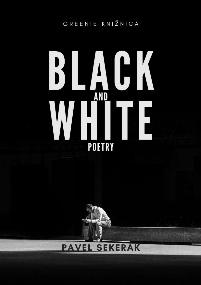GREENIE KNIŽNICA

# JK  $\frac{1}{2}$ **AND POETRY**



# **PAVEL SEKERAK**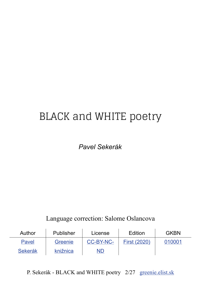# <span id="page-1-0"></span>BLACK and WHITE poetry

*Pavel Sekerák*

Language correction: Salome Oslancova

| Author         | Publisher | License   | Edition             | <b>GKBN</b> |
|----------------|-----------|-----------|---------------------|-------------|
| Pavel          | Greenie   | CC-BY-NC- | <b>First (2020)</b> | 010001      |
| <b>Sekerák</b> | knižnica  | <u>ND</u> |                     |             |

P. Sekerák - BLACK and WHITE poetry 2/27 [greenie.elist.sk](http://greenie.elist.sk/)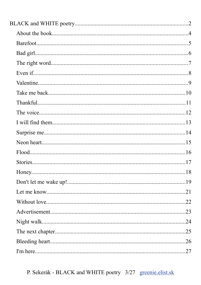P. Sekerák - BLACK and WHITE poetry 3/27 greenie.elist.sk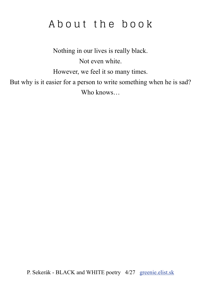# <span id="page-3-0"></span>A b o u t the book

Nothing in our lives is really black. Not even white. However, we feel it so many times. But why is it easier for a person to write something when he is sad? Who knows…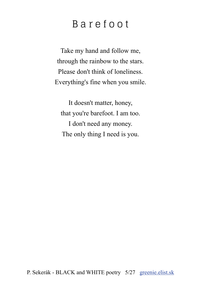# <span id="page-4-0"></span>B a r e f o o t

Take my hand and follow me, through the rainbow to the stars. Please don't think of loneliness. Everything's fine when you smile.

It doesn't matter, honey, that you're barefoot. I am too. I don't need any money. The only thing I need is you.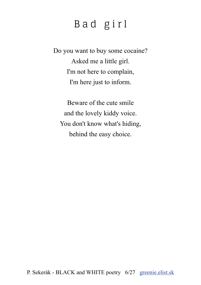# <span id="page-5-0"></span>B a d g i r l

Do you want to buy some cocaine? Asked me a little girl. I'm not here to complain, I'm here just to inform.

Beware of the cute smile and the lovely kiddy voice. You don't know what's hiding, behind the easy choice.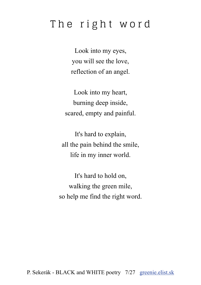# <span id="page-6-0"></span>The right word

Look into my eyes, you will see the love, reflection of an angel.

Look into my heart, burning deep inside, scared, empty and painful.

It's hard to explain, all the pain behind the smile, life in my inner world.

It's hard to hold on, walking the green mile, so help me find the right word.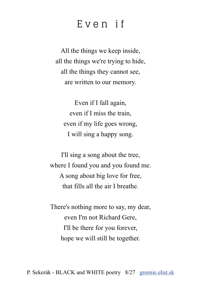## <span id="page-7-0"></span>E v e n i f

All the things we keep inside, all the things we're trying to hide, all the things they cannot see, are written to our memory.

Even if I fall again, even if I miss the train, even if my life goes wrong, I will sing a happy song.

I'll sing a song about the tree, where I found you and you found me. A song about big love for free, that fills all the air I breathe.

There's nothing more to say, my dear, even I'm not Richard Gere, I'll be there for you forever, hope we will still be together.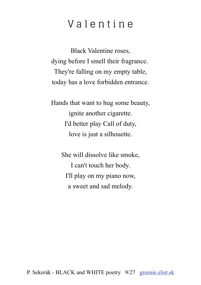# <span id="page-8-0"></span>V a l e n t i n e

Black Valentine roses, dying before I smell their fragrance. They're falling on my empty table, today has a love forbidden entrance.

Hands that want to hug some beauty, ignite another cigarette. I'd better play Call of duty, love is just a silhouette.

> She will dissolve like smoke, I can't touch her body. I'll play on my piano now, a sweet and sad melody.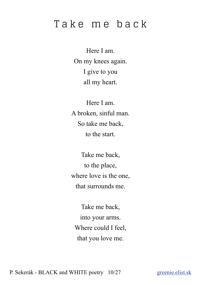# <span id="page-9-0"></span>Take me back

Here I am. On my knees again. I give to you all my heart.

Here I am. A broken, sinful man. So take me back, to the start.

Take me back, to the place, where love is the one, that surrounds me.

Take me back, into your arms. Where could I feel, that you love me.

P. Sekerák - BLACK and WHITE poetry 10/27 [greenie.](http://greenie.elist.sk/)elist.sk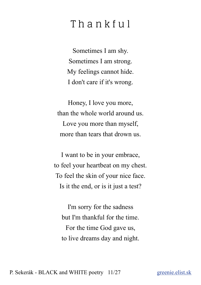# <span id="page-10-0"></span>T h a n k f u l

Sometimes I am shy. Sometimes I am strong. My feelings cannot hide. I don't care if it's wrong.

Honey, I love you more, than the whole world around us. Love you more than myself, more than tears that drown us.

I want to be in your embrace, to feel your heartbeat on my chest. To feel the skin of your nice face. Is it the end, or is it just a test?

I'm sorry for the sadness but I'm thankful for the time. For the time God gave us, to live dreams day and night.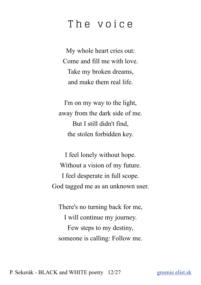#### <span id="page-11-0"></span>The voice

My whole heart cries out: Come and fill me with love. Take my broken dreams, and make them real life.

I'm on my way to the light, away from the dark side of me. But I still didn't find, the stolen forbidden key.

I feel lonely without hope. Without a vision of my future. I feel desperate in full scope. God tagged me as an unknown user.

There's no turning back for me, I will continue my journey. Few steps to my destiny, someone is calling: Follow me.

P. Sekerák - BLACK and WHITE poetry 12/27 [greenie.](http://greenie.elist.sk/)elist.sk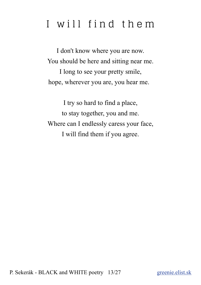# <span id="page-12-0"></span>I will find them

I don't know where you are now. You should be here and sitting near me. I long to see your pretty smile, hope, wherever you are, you hear me.

I try so hard to find a place, to stay together, you and me. Where can I endlessly caress your face, I will find them if you agree.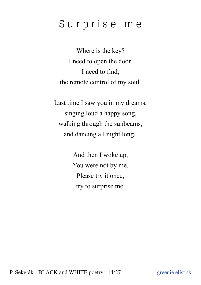# <span id="page-13-0"></span>S u r p r i s e m e

Where is the key? I need to open the door. I need to find, the remote control of my soul.

Last time I saw you in my dreams, singing loud a happy song, walking through the sunbeams, and dancing all night long.

> And then I woke up, You were not by me. Please try it once, try to surprise me.

P. Sekerák - BLACK and WHITE poetry 14/27 [greenie.](http://greenie.elist.sk/)elist.sk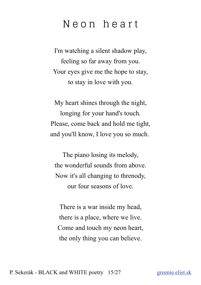#### <span id="page-14-0"></span>N e o n h e a r t

I'm watching a silent shadow play, feeling so far away from you. Your eyes give me the hope to stay, to stay in love with you.

My heart shines through the night, longing for your hand's touch. Please, come back and hold me tight, and you'll know, I love you so much.

The piano losing its melody, the wonderful sounds from above. Now it's all changing to threnody, our four seasons of love.

There is a war inside my head, there is a place, where we live. Come and touch my neon heart, the only thing you can believe.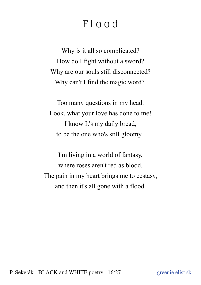# <span id="page-15-0"></span>F l o o d

Why is it all so complicated? How do I fight without a sword? Why are our souls still disconnected? Why can't I find the magic word?

Too many questions in my head. Look, what your love has done to me! I know It's my daily bread, to be the one who's still gloomy.

I'm living in a world of fantasy, where roses aren't red as blood. The pain in my heart brings me to ecstasy, and then it's all gone with a flood.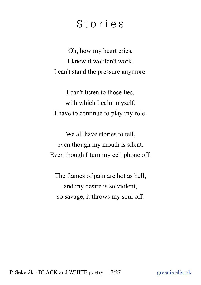## <span id="page-16-0"></span>S t o r i e s

Oh, how my heart cries, I knew it wouldn't work. I can't stand the pressure anymore.

I can't listen to those lies, with which I calm myself. I have to continue to play my role.

We all have stories to tell, even though my mouth is silent. Even though I turn my cell phone off.

The flames of pain are hot as hell, and my desire is so violent, so savage, it throws my soul off.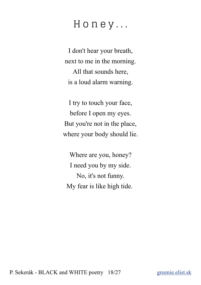# <span id="page-17-0"></span>H o n e y . . .

I don't hear your breath, next to me in the morning. All that sounds here, is a loud alarm warning.

I try to touch your face, before I open my eyes. But you're not in the place, where your body should lie.

Where are you, honey? I need you by my side. No, it's not funny. My fear is like high tide.

P. Sekerák - BLACK and WHITE poetry 18/27 [greenie.](http://greenie.elist.sk/)elist.sk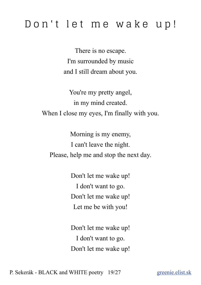# <span id="page-18-0"></span>Don't let me wake up!

There is no escape. I'm surrounded by music and I still dream about you.

You're my pretty angel, in my mind created. When I close my eyes, I'm finally with you.

Morning is my enemy, I can't leave the night. Please, help me and stop the next day.

> Don't let me wake up! I don't want to go. Don't let me wake up! Let me be with you!

> Don't let me wake up! I don't want to go. Don't let me wake up!

P. Sekerák - BLACK and WHITE poetry 19/27 [greenie.](http://greenie.elist.sk/)elist.sk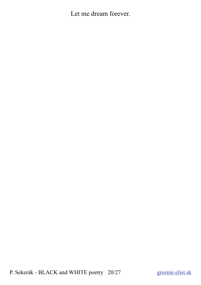Let me dream forever.

P. Sekerák - BLACK and WHITE poetry 20/27 [greenie.](http://greenie.elist.sk/)elist.sk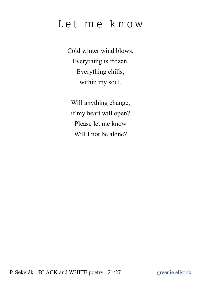# <span id="page-20-0"></span>Let me know

Cold winter wind blows. Everything is frozen. Everything chills, within my soul.

Will anything change, if my heart will open? Please let me know Will I not be alone?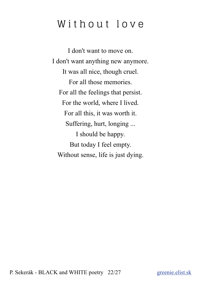# <span id="page-21-0"></span>Without love

I don't want to move on. I don't want anything new anymore. It was all nice, though cruel. For all those memories. For all the feelings that persist. For the world, where I lived. For all this, it was worth it. Suffering, hurt, longing ... I should be happy. But today I feel empty. Without sense, life is just dying.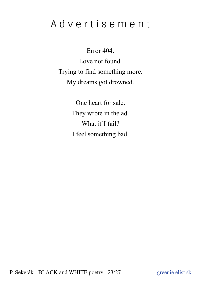# <span id="page-22-0"></span>A d v e r t i s e m e n t

Error 404. Love not found. Trying to find something more. My dreams got drowned.

> One heart for sale. They wrote in the ad. What if I fail? I feel something bad.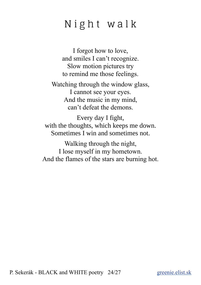# <span id="page-23-0"></span>Night walk

I forgot how to love, and smiles I can't recognize. Slow motion pictures try to remind me those feelings.

Watching through the window glass, I cannot see your eyes. And the music in my mind, can't defeat the demons.

Every day I fight, with the thoughts, which keeps me down. Sometimes I win and sometimes not.

Walking through the night, I lose myself in my hometown. And the flames of the stars are burning hot.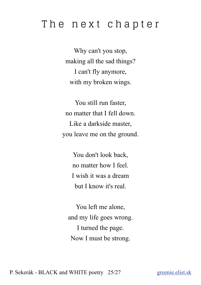#### <span id="page-24-0"></span>The next chapter

Why can't you stop, making all the sad things? I can't fly anymore, with my broken wings.

You still run faster, no matter that I fell down. Like a darkside master, you leave me on the ground.

> You don't look back, no matter how I feel. I wish it was a dream but I know it's real.

You left me alone, and my life goes wrong. I turned the page. Now I must be strong.

P. Sekerák - BLACK and WHITE poetry 25/27 [greenie.](http://greenie.elist.sk/)elist.sk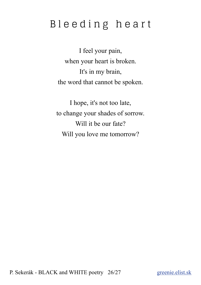# <span id="page-25-0"></span>Bleeding heart

I feel your pain, when your heart is broken. It's in my brain, the word that cannot be spoken.

I hope, it's not too late, to change your shades of sorrow. Will it be our fate? Will you love me tomorrow?